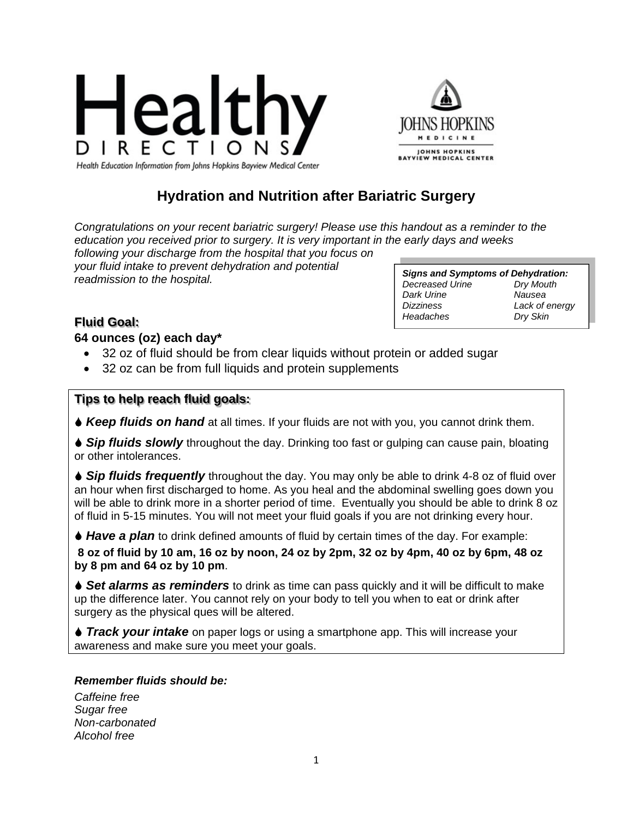



Health Education Information from Johns Hopkins Bayview Medical Center

# **Hydration and Nutrition after Bariatric Surgery**

*Congratulations on your recent bariatric surgery! Please use this handout as a reminder to the education you received prior to surgery. It is very important in the early days and weeks* 

*following your discharge from the hospital that you focus on your fluid intake to prevent dehydration and potential readmission to the hospital.* 

*Signs and Symptoms of Dehydration: Decreased Urine Dry Mouth Dark Urine Dizziness Lack of energy Headaches Dry Skin*

## **Fluid Goal:**

**64 ounces (oz) each day\*** 

- 32 oz of fluid should be from clear liquids without protein or added sugar
- 32 oz can be from full liquids and protein supplements

#### **Tips to help reach fluid goals:**

*Keep fluids on hand* at all times. If your fluids are not with you, you cannot drink them.

**◆ Sip fluids slowly** throughout the day. Drinking too fast or gulping can cause pain, bloating or other intolerances.

**◆ Sip fluids frequently** throughout the day. You may only be able to drink 4-8 oz of fluid over an hour when first discharged to home. As you heal and the abdominal swelling goes down you will be able to drink more in a shorter period of time. Eventually you should be able to drink 8 oz of fluid in 5-15 minutes. You will not meet your fluid goals if you are not drinking every hour.

**↓ Have a plan** to drink defined amounts of fluid by certain times of the day. For example:

**8 oz of fluid by 10 am, 16 oz by noon, 24 oz by 2pm, 32 oz by 4pm, 40 oz by 6pm, 48 oz by 8 pm and 64 oz by 10 pm**.

**↓ Set alarms as reminders** to drink as time can pass quickly and it will be difficult to make up the difference later. You cannot rely on your body to tell you when to eat or drink after surgery as the physical ques will be altered.

**◆ Track your intake** on paper logs or using a smartphone app. This will increase your awareness and make sure you meet your goals.

#### *Remember fluids should be:*

*Caffeine free Sugar free Non-carbonated Alcohol free*